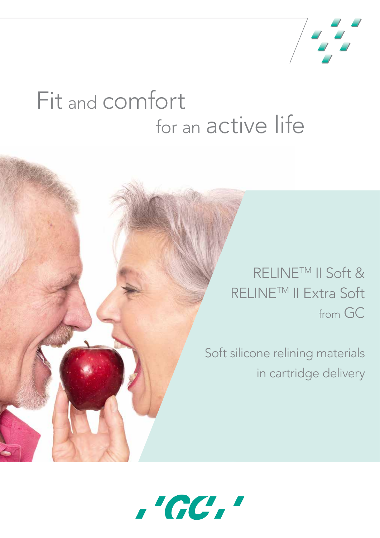

# Fit and comfort for an active life

## RELINE<sup>™</sup> II Soft & RELINETM II Extra Soft from GC

Soft silicone relining materials in cartridge delivery

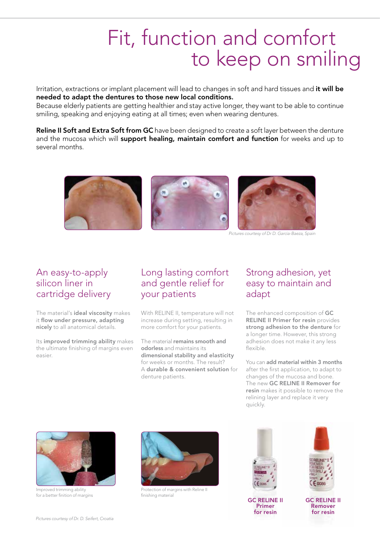## Fit, function and comfort to keep on smiling

Irritation, extractions or implant placement will lead to changes in soft and hard tissues and it will be needed to adapt the dentures to those new local conditions.

Because elderly patients are getting healthier and stay active longer, they want to be able to continue smiling, speaking and enjoying eating at all times; even when wearing dentures.

Reline II Soft and Extra Soft from GC have been designed to create a soft layer between the denture and the mucosa which will support healing, maintain comfort and function for weeks and up to several months.



*Pictures courtesy of Dr D. Garcia-Baeza, Spain*

### An easy-to-apply silicon liner in cartridge delivery

The material's ideal viscosity makes it flow under pressure, adapting nicely to all anatomical details.

Its improved trimming ability makes the ultimate finishing of margins even easier.

### Long lasting comfort and gentle relief for your patients

With RELINE II, temperature will not increase during setting, resulting in more comfort for your patients.

The material remains smooth and odorless and maintains its dimensional stability and elasticity for weeks or months. The result? A durable & convenient solution for denture patients.

### Strong adhesion, yet easy to maintain and adapt

The enhanced composition of GC RELINE II Primer for resin provides strong adhesion to the denture for a longer time. However, this strong adhesion does not make it any less flexible.

You can add material within 3 months after the first application, to adapt to changes of the mucosa and bone. The new GC RELINE II Remover for resin makes it possible to remove the relining layer and replace it very quickly.



Improved trimming ability for a better finition of margins



Protection of margins with Reline II finishing material



GC RELINE II Primer for resin



GC RELINE II Remover for resin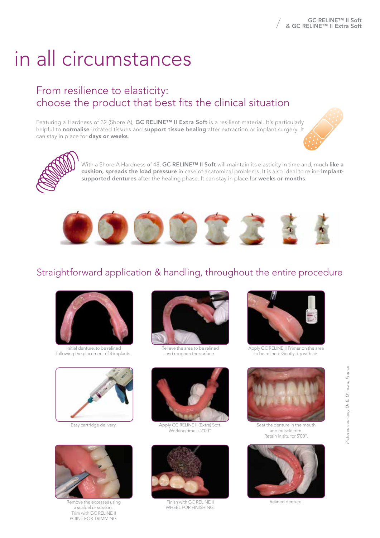# in all circumstances

## From resilience to elasticity: choose the product that best fits the clinical situation

Featuring a Hardness of 32 (Shore A), GC RELINE™ II Extra Soft is a resilient material. It's particularly helpful to normalise irritated tissues and support tissue healing after extraction or implant surgery. It can stay in place for days or weeks.





With a Shore A Hardness of 48, GC RELINE™ II Soft will maintain its elasticity in time and, much like a cushion, spreads the load pressure in case of anatomical problems. It is also ideal to reline implantsupported dentures after the healing phase. It can stay in place for weeks or months.



## Straightforward application & handling, throughout the entire procedure



Initial denture, to be relined following the placement of 4 implants.





Remove the excesses using a scalpel or scissors. Trim with GC RELINE II POINT FOR TRIMMING.



Relieve the area to be relined and roughen the surface.



Easy cartridge delivery. Apply GC RELINE II (Extra) Soft Working time is 2'00".



Finish with GC RELINE II WHEEL FOR FINISHING.



Apply GC RELINE II Primer on the area to be relined. Gently dry with air.



Seat the denture in the mouth and muscle trim. Retain in situ for 5'00".



Relined denture.